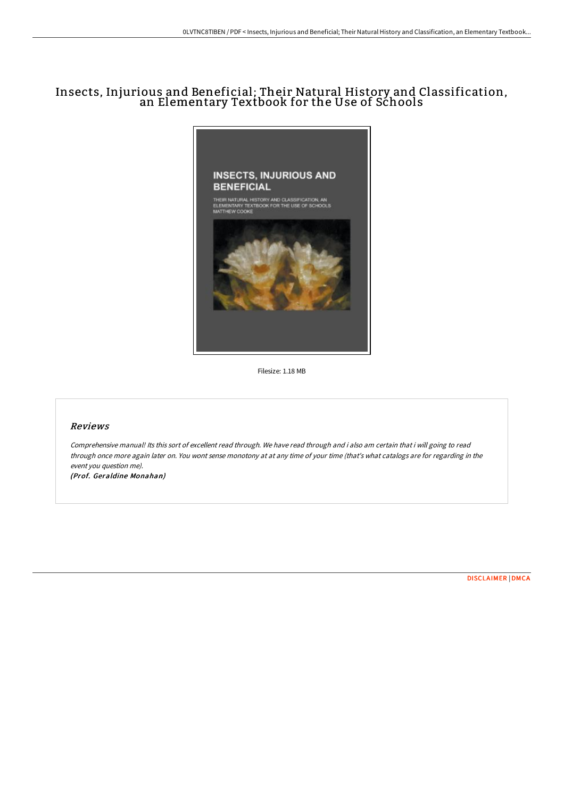# Insects, Injurious and Beneficial; Their Natural History and Classification, an Elementary Textbook for the Use of Schools



Filesize: 1.18 MB

#### Reviews

Comprehensive manual! Its this sort of excellent read through. We have read through and i also am certain that i will going to read through once more again later on. You wont sense monotony at at any time of your time (that's what catalogs are for regarding in the event you question me). (Prof. Geraldine Monahan)

[DISCLAIMER](http://techno-pub.tech/disclaimer.html) | [DMCA](http://techno-pub.tech/dmca.html)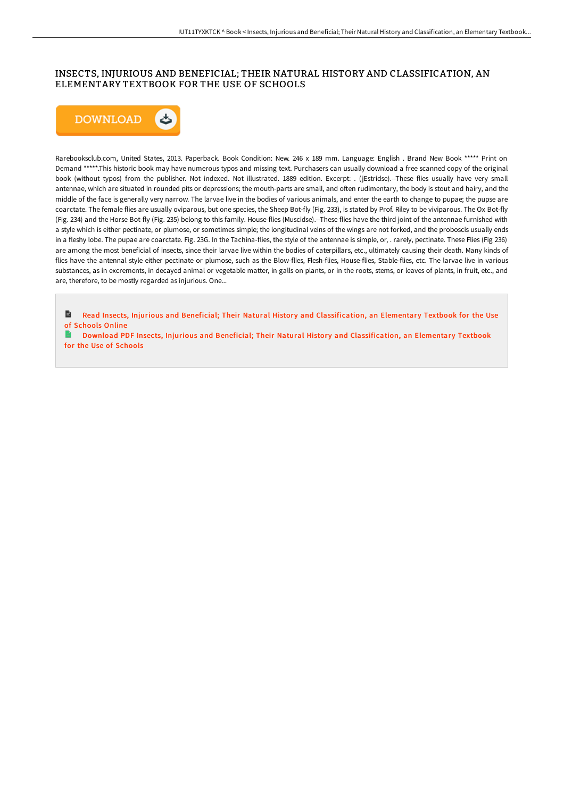## INSECTS, INJURIOUS AND BENEFICIAL; THEIR NATURAL HISTORY AND CLASSIFICATION, AN ELEMENTARY TEXTBOOK FOR THE USE OF SCHOOLS



Rarebooksclub.com, United States, 2013. Paperback. Book Condition: New. 246 x 189 mm. Language: English . Brand New Book \*\*\*\*\* Print on Demand \*\*\*\*\*.This historic book may have numerous typos and missing text. Purchasers can usually download a free scanned copy of the original book (without typos) from the publisher. Not indexed. Not illustrated. 1889 edition. Excerpt: . (jEstridse).--These flies usually have very small antennae, which are situated in rounded pits or depressions; the mouth-parts are small, and often rudimentary, the body is stout and hairy, and the middle of the face is generally very narrow. The larvae live in the bodies of various animals, and enter the earth to change to pupae; the pupse are coarctate. The female flies are usually oviparous, but one species, the Sheep Bot-fly (Fig. 233), is stated by Prof. Riley to be viviparous. The Ox Bot-fly (Fig. 234) and the Horse Bot-fly (Fig. 235) belong to this family. House-flies (Muscidse).--These flies have the third joint of the antennae furnished with a style which is either pectinate, or plumose, or sometimes simple; the longitudinal veins of the wings are not forked, and the proboscis usually ends in a fleshy lobe. The pupae are coarctate. Fig. 23G. In the Tachina-flies, the style of the antennae is simple, or, . rarely, pectinate. These Flies (Fig 236) are among the most beneficial of insects, since their larvae live within the bodies of caterpillars, etc., ultimately causing their death. Many kinds of flies have the antennal style either pectinate or plumose, such as the Blow-flies, Flesh-flies, House-flies, Stable-flies, etc. The larvae live in various substances, as in excrements, in decayed animal or vegetable matter, in galls on plants, or in the roots, stems, or leaves of plants, in fruit, etc., and are, therefore, to be mostly regarded as injurious. One...

B Read Insects, Injurious and Beneficial; Their Natural History and [Classification,](http://techno-pub.tech/insects-injurious-and-beneficial-their-natural-h.html) an Elementary Textbook for the Use of Schools Online

B Download PDF Insects, Injurious and Beneficial; Their Natural History and [Classification,](http://techno-pub.tech/insects-injurious-and-beneficial-their-natural-h.html) an Elementary Textbook for the Use of Schools